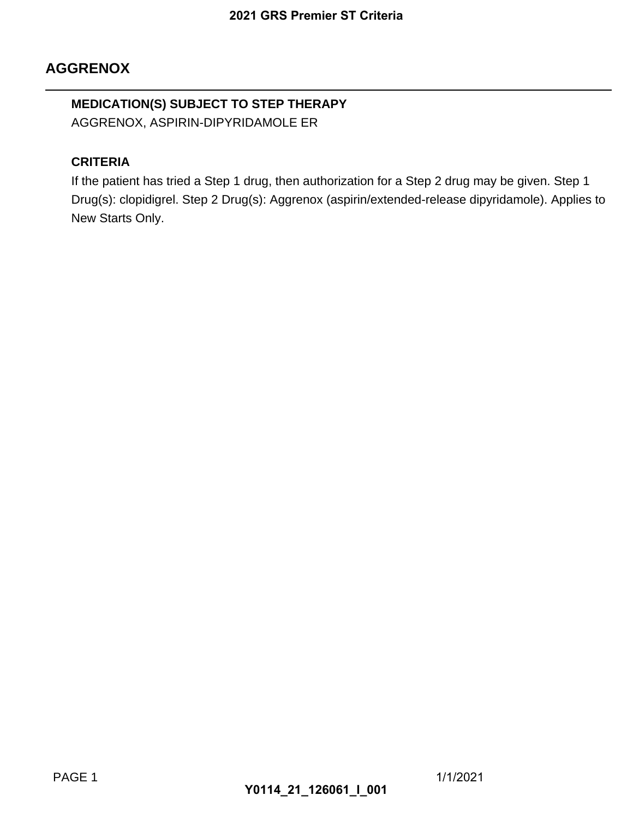## **AGGRENOX**

## **MEDICATION(S) SUBJECT TO STEP THERAPY** AGGRENOX, ASPIRIN-DIPYRIDAMOLE ER

#### **CRITERIA**

If the patient has tried a Step 1 drug, then authorization for a Step 2 drug may be given. Step 1 Drug(s): clopidigrel. Step 2 Drug(s): Aggrenox (aspirin/extended-release dipyridamole). Applies to New Starts Only. 2021 GRS Premier ST Criteria<br>
TO STEP THERAPY<br>
PRIDAMOLE ER<br>
1 drug, then authorization for a<br>
rug(s): Aggrenox (aspirin/extend<br> **Y0114\_21\_126061\_I\_001**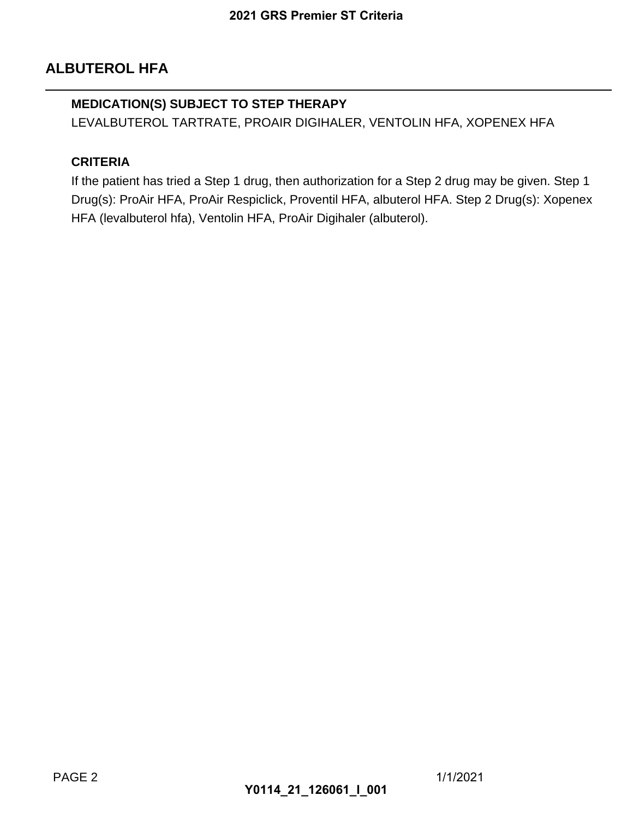## **ALBUTEROL HFA**

#### **MEDICATION(S) SUBJECT TO STEP THERAPY**

LEVALBUTEROL TARTRATE, PROAIR DIGIHALER, VENTOLIN HFA, XOPENEX HFA

#### **CRITERIA**

If the patient has tried a Step 1 drug, then authorization for a Step 2 drug may be given. Step 1 Drug(s): ProAir HFA, ProAir Respiclick, Proventil HFA, albuterol HFA. Step 2 Drug(s): Xopenex HFA (levalbuterol hfa), Ventolin HFA, ProAir Digihaler (albuterol). 2021 GRS Premier ST Criteria<br> **TO STEP THERAPY**<br>
E, PROAIR DIGIHALER, VENTO<br>
1 drug, then authorization for a<br>
Respiclick, Proventil HFA, albute<br>
Ilin HFA, ProAir Digihaler (albute<br> **Y0114\_21\_126061\_I\_001**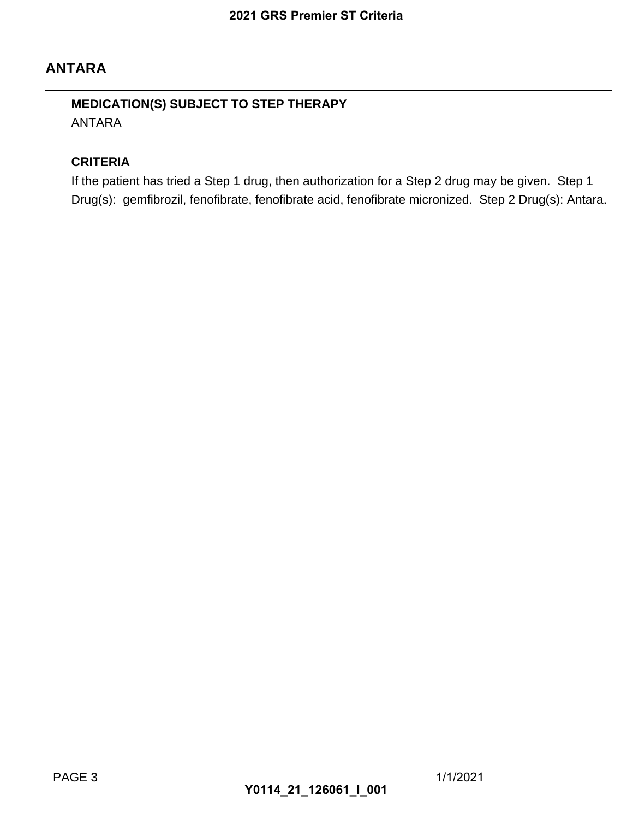## **ANTARA**

## **MEDICATION(S) SUBJECT TO STEP THERAPY** ANTARA

#### **CRITERIA**

If the patient has tried a Step 1 drug, then authorization for a Step 2 drug may be given. Step 1 Drug(s): gemfibrozil, fenofibrate, fenofibrate acid, fenofibrate micronized. Step 2 Drug(s): Antara. 2021 GRS Premier ST Criteria<br>
TO STEP THERAPY<br>
1 drug, then authorization for a<br>
rate, fenofibrate acid, fenofibrate<br>
Y0114\_21\_126061\_I\_001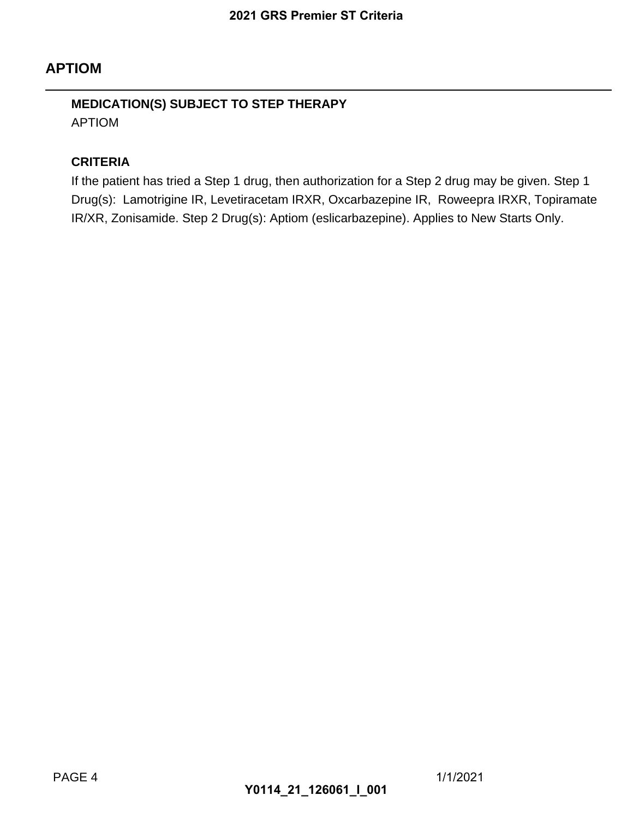## **APTIOM**

## **MEDICATION(S) SUBJECT TO STEP THERAPY** APTIOM

#### **CRITERIA**

If the patient has tried a Step 1 drug, then authorization for a Step 2 drug may be given. Step 1 Drug(s): Lamotrigine IR, Levetiracetam IRXR, Oxcarbazepine IR, Roweepra IRXR, Topiramate IR/XR, Zonisamide. Step 2 Drug(s): Aptiom (eslicarbazepine). Applies to New Starts Only. 2021 GRS Premier ST Criteria<br>
TO STEP THERAPY<br>
1 drug, then authorization for a<br>
retiracetam IRXR, Oxcarbazepine<br>
rug(s): Aptiom (eslicarbazepine)<br>
Y0114\_21\_126061\_I\_001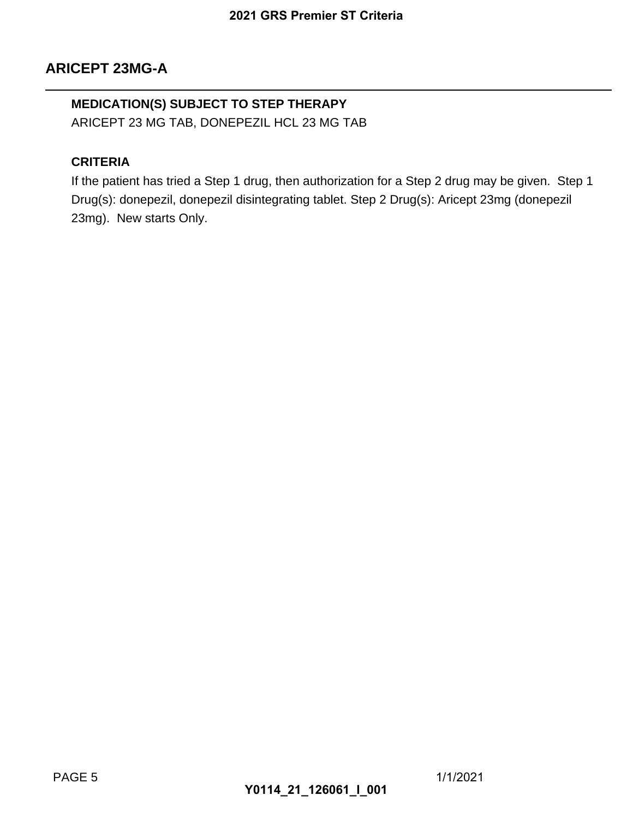### **MEDICATION(S) SUBJECT TO STEP THERAPY**

ARICEPT 23 MG TAB, DONEPEZIL HCL 23 MG TAB

#### **CRITERIA**

If the patient has tried a Step 1 drug, then authorization for a Step 2 drug may be given. Step 1 Drug(s): donepezil, donepezil disintegrating tablet. Step 2 Drug(s): Aricept 23mg (donepezil 23mg). New starts Only. 2021 GRS Premier ST Criteria<br>
TO STEP THERAPY<br>
EPEZIL HCL 23 MG TAB<br>
1 drug, then authorization for a<br>
1 disintegrating tablet. Step 2 Dru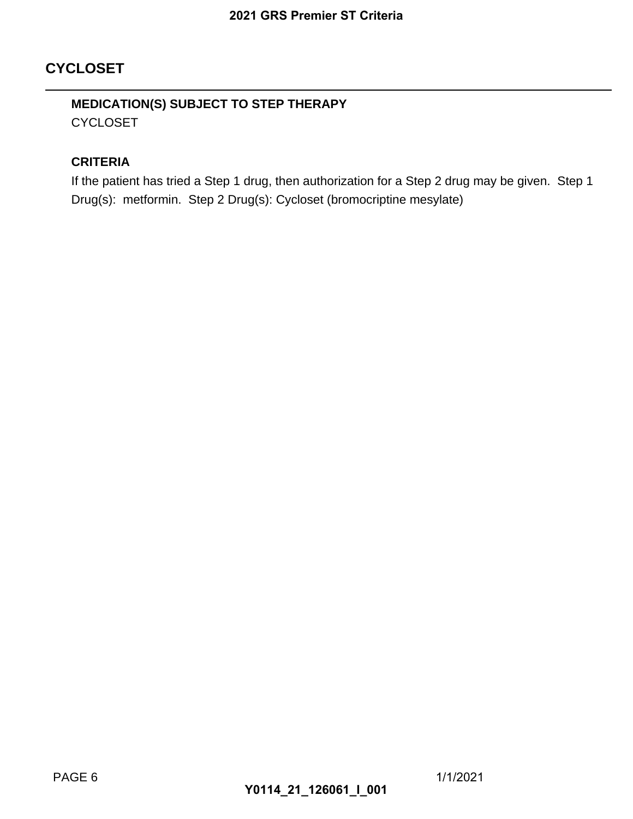## **CYCLOSET**

## **MEDICATION(S) SUBJECT TO STEP THERAPY CYCLOSET**

#### **CRITERIA**

If the patient has tried a Step 1 drug, then authorization for a Step 2 drug may be given. Step 1 Drug(s): metformin. Step 2 Drug(s): Cycloset (bromocriptine mesylate) 2021 GRS Premier ST Criteria<br>
TO STEP THERAPY<br>
1 drug, then authorization for a<br>
Drug(s): Cycloset (bromocriptine<br> **Y0114\_21\_126061\_I\_001**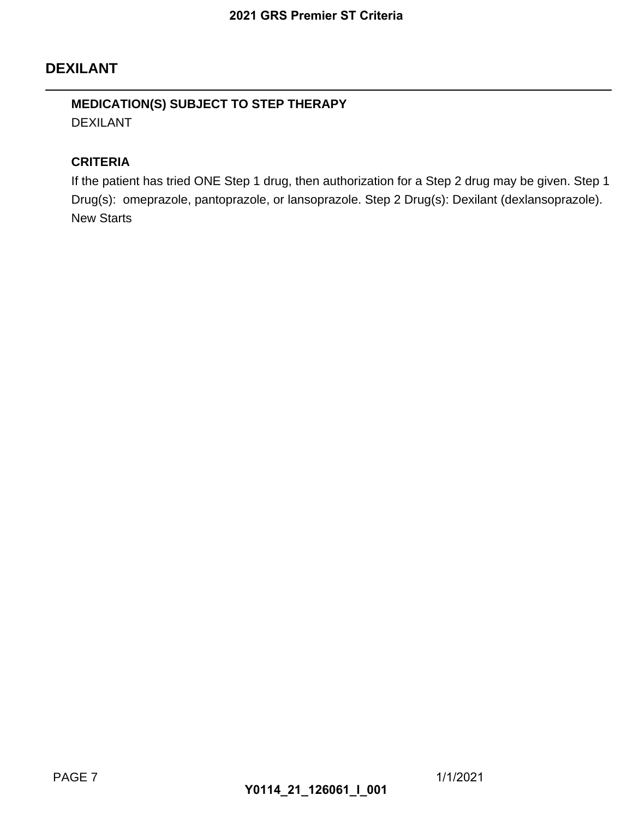## **DEXILANT**

### **MEDICATION(S) SUBJECT TO STEP THERAPY** DEXILANT

#### **CRITERIA**

If the patient has tried ONE Step 1 drug, then authorization for a Step 2 drug may be given. Step 1 Drug(s): omeprazole, pantoprazole, or lansoprazole. Step 2 Drug(s): Dexilant (dexlansoprazole). New Starts 2021 GRS Premier ST Criteria<br>
TO STEP THERAPY<br>
Step 1 drug, then authorization for<br>
prazole, or lansoprazole. Step 2 l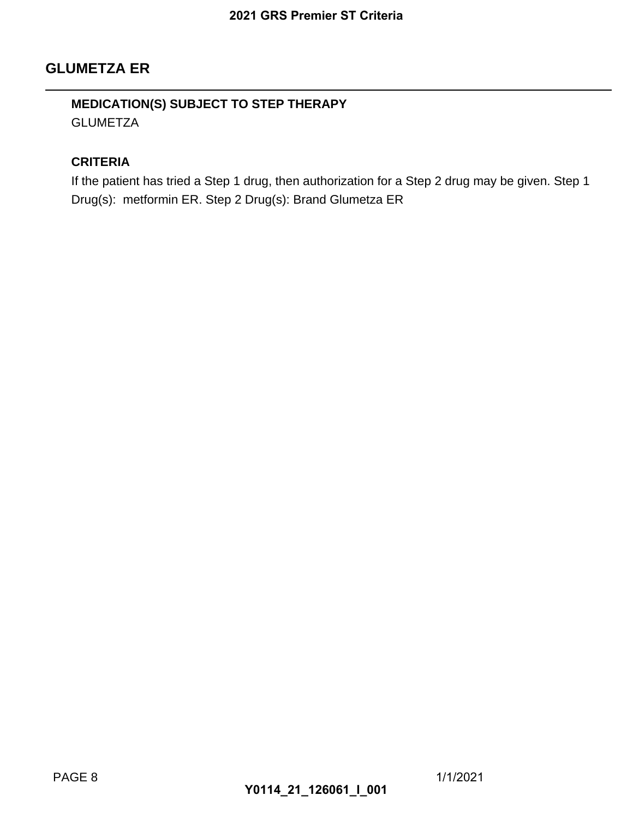### **GLUMETZA ER**

### **MEDICATION(S) SUBJECT TO STEP THERAPY GLUMETZA**

#### **CRITERIA**

If the patient has tried a Step 1 drug, then authorization for a Step 2 drug may be given. Step 1 Drug(s): metformin ER. Step 2 Drug(s): Brand Glumetza ER 2021 GRS Premier ST Criteria<br>
TO STEP THERAPY<br>
1 drug, then authorization for a<br>
2 Drug(s): Brand Glumetza ER<br>
Y0114\_21\_126061\_I\_001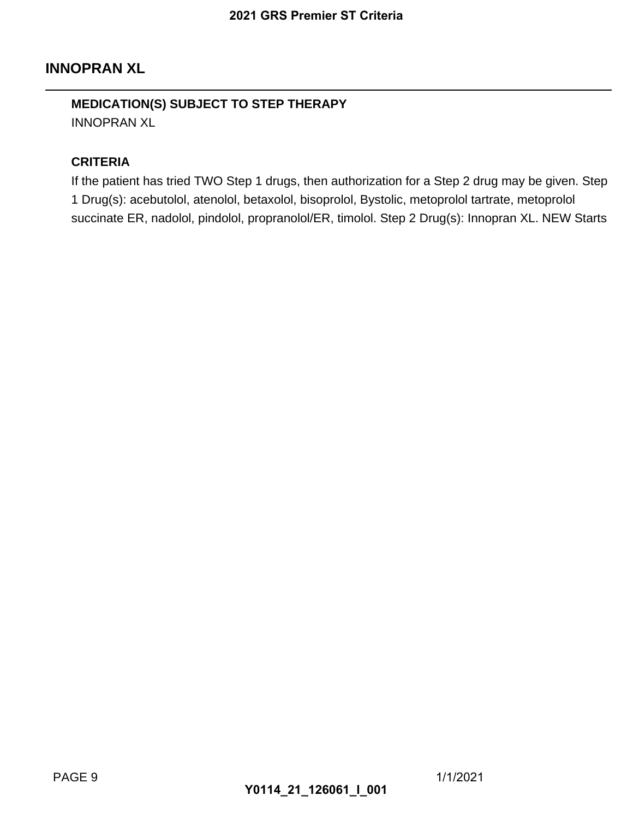## **INNOPRAN XL**

#### **MEDICATION(S) SUBJECT TO STEP THERAPY** INNOPRAN XL

#### **CRITERIA**

If the patient has tried TWO Step 1 drugs, then authorization for a Step 2 drug may be given. Step 1 Drug(s): acebutolol, atenolol, betaxolol, bisoprolol, Bystolic, metoprolol tartrate, metoprolol succinate ER, nadolol, pindolol, propranolol/ER, timolol. Step 2 Drug(s): Innopran XL. NEW Starts 2021 GRS Premier ST Criteria<br>
TO STEP THERAPY<br>
Step 1 drugs, then authorization<br>
DI, betaxolol, bisoprolol, Bystolic, propranolol/ER, timolol. Step<br>
MO114\_21\_126061\_I\_001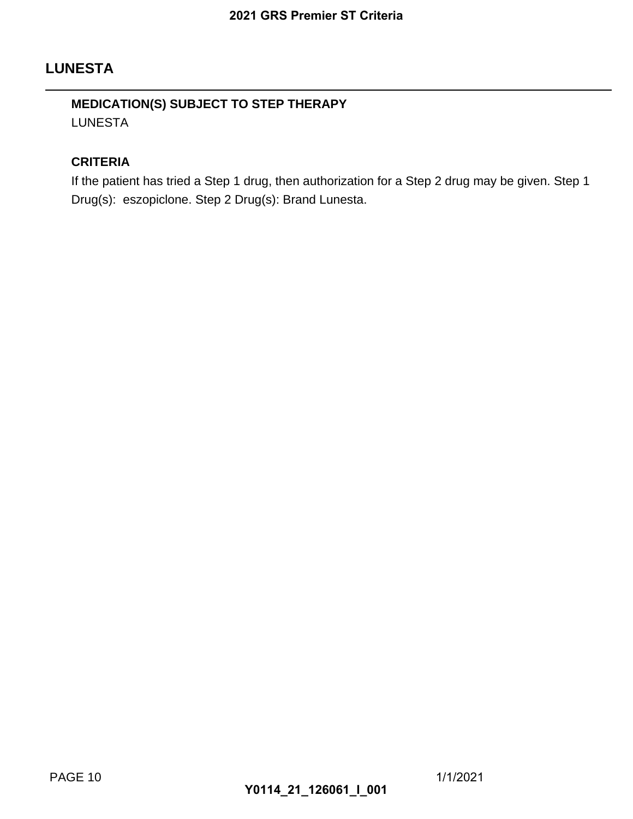## **LUNESTA**

## **MEDICATION(S) SUBJECT TO STEP THERAPY** LUNESTA

#### **CRITERIA**

If the patient has tried a Step 1 drug, then authorization for a Step 2 drug may be given. Step 1 Drug(s): eszopiclone. Step 2 Drug(s): Brand Lunesta. 2021 GRS Premier ST Criteria<br>
TO STEP THERAPY<br>
1 drug, then authorization for a<br>
2 Drug(s): Brand Lunesta.<br>
Y0114\_21\_126061\_I\_001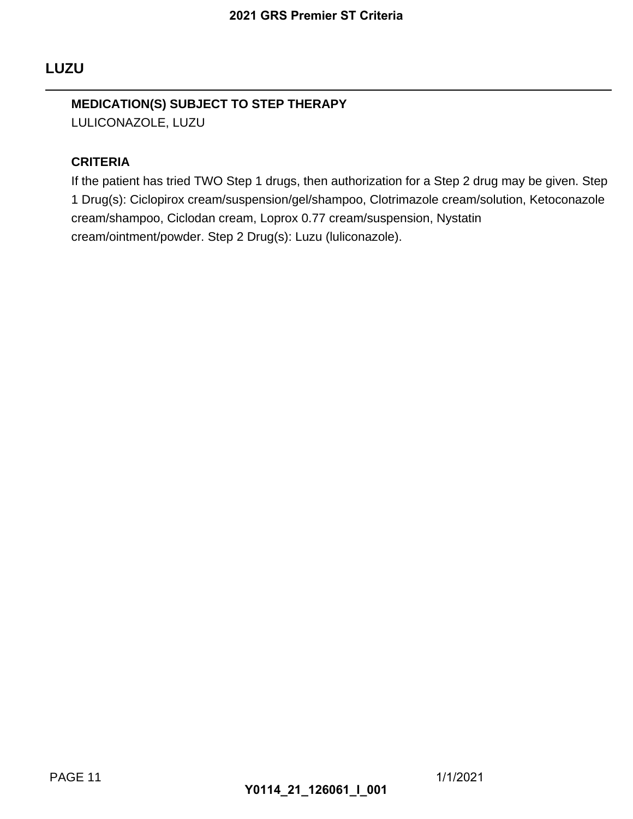# **MEDICATION(S) SUBJECT TO STEP THERAPY**

LULICONAZOLE, LUZU

### **CRITERIA**

If the patient has tried TWO Step 1 drugs, then authorization for a Step 2 drug may be given. Step 1 Drug(s): Ciclopirox cream/suspension/gel/shampoo, Clotrimazole cream/solution, Ketoconazole cream/shampoo, Ciclodan cream, Loprox 0.77 cream/suspension, Nystatin cream/ointment/powder. Step 2 Drug(s): Luzu (luliconazole). 2021 GRS Premier ST Criteria<br>
TO STEP THERAPY<br>
Step 1 drugs, then authorization<br>
suspension/gel/shampoo, Clotrim<br>
eam, Loprox 0.77 cream/suspen<br>
2 Drug(s): Luzu (Iuliconazole).<br>
Y0114\_21\_126061\_I\_001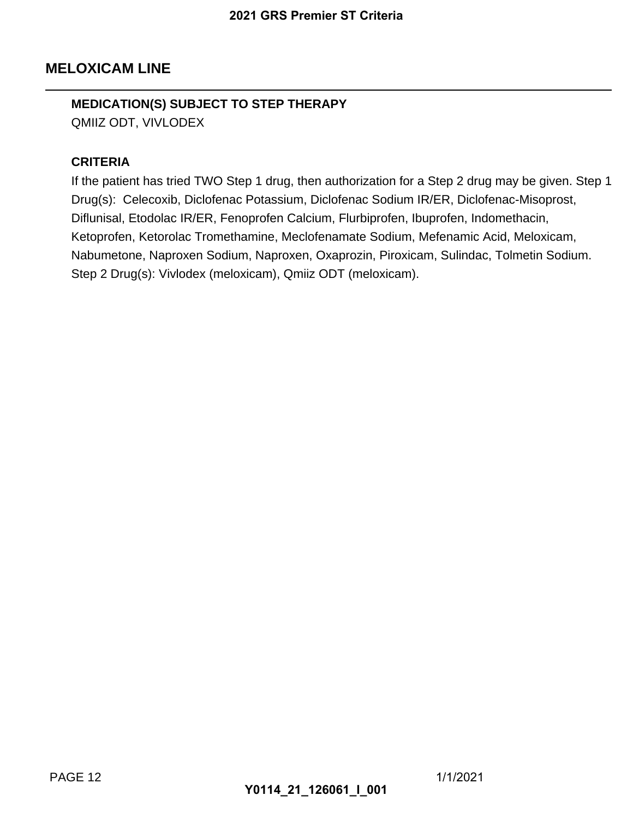## **MELOXICAM LINE**

## **MEDICATION(S) SUBJECT TO STEP THERAPY**

QMIIZ ODT, VIVLODEX

#### **CRITERIA**

If the patient has tried TWO Step 1 drug, then authorization for a Step 2 drug may be given. Step 1 Drug(s): Celecoxib, Diclofenac Potassium, Diclofenac Sodium IR/ER, Diclofenac-Misoprost, Diflunisal, Etodolac IR/ER, Fenoprofen Calcium, Flurbiprofen, Ibuprofen, Indomethacin, Ketoprofen, Ketorolac Tromethamine, Meclofenamate Sodium, Mefenamic Acid, Meloxicam, Nabumetone, Naproxen Sodium, Naproxen, Oxaprozin, Piroxicam, Sulindac, Tolmetin Sodium. Step 2 Drug(s): Vivlodex (meloxicam), Qmiiz ODT (meloxicam). 2021 GRS Premier ST Criteria<br>
TO STEP THERAPY<br>
Step 1 drug, then authorization for<br>
ac Potassium, Diclofenac Sodiur<br>
enoprofen Calcium, Flurbiprofen<br>
Internation, Naproxen, Oxaprozin, Pirox<br>
Ioxicam), Qmiiz ODT (meloxican<br>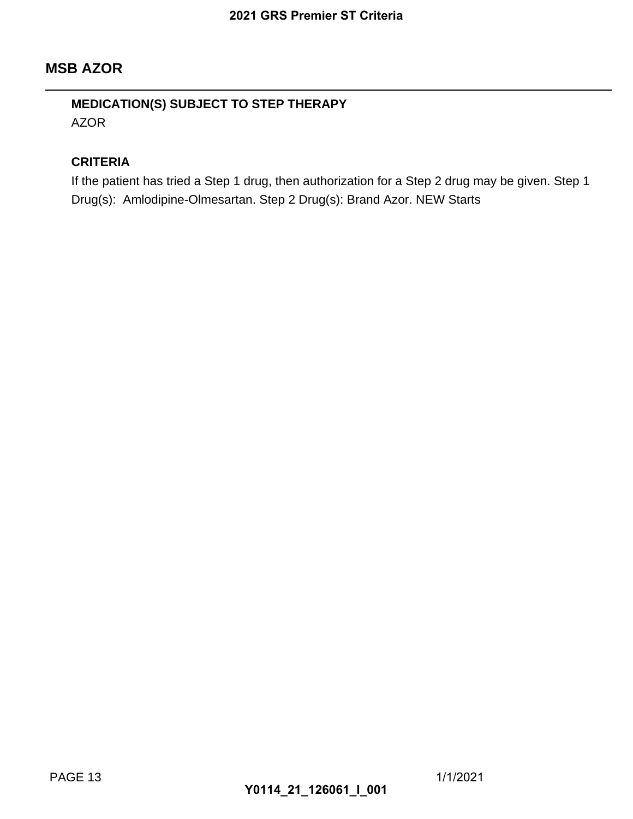## **MSB AZOR**

## **MEDICATION(S) SUBJECT TO STEP THERAPY** AZOR

#### **CRITERIA**

If the patient has tried a Step 1 drug, then authorization for a Step 2 drug may be given. Step 1 Drug(s): Amlodipine-Olmesartan. Step 2 Drug(s): Brand Azor. NEW Starts 2021 GRS Premier ST Criteria<br>
TO STEP THERAPY<br>
1 drug, then authorization for a<br>
urtan. Step 2 Drug(s): Brand Azol<br> **Y0114\_21\_126061\_I\_001**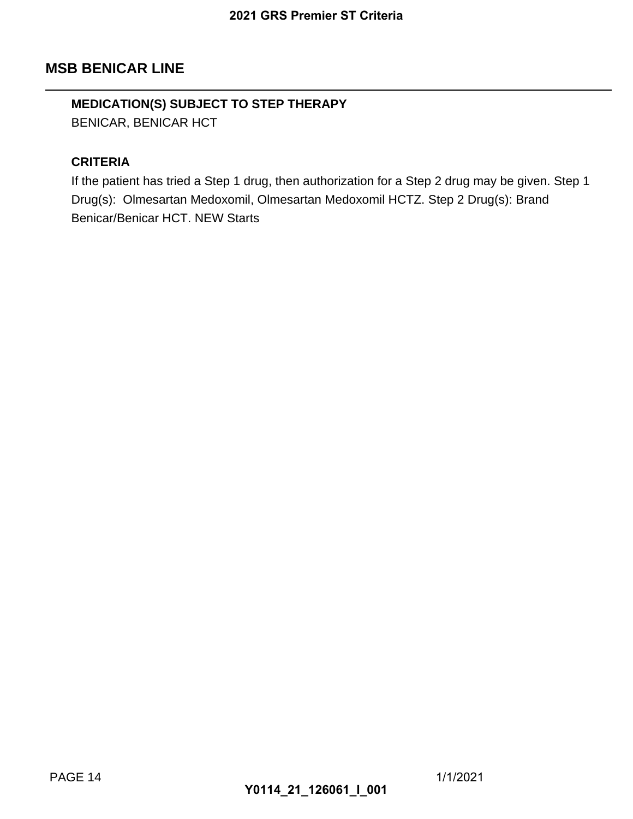## **MSB BENICAR LINE**

## **MEDICATION(S) SUBJECT TO STEP THERAPY**

BENICAR, BENICAR HCT

#### **CRITERIA**

If the patient has tried a Step 1 drug, then authorization for a Step 2 drug may be given. Step 1 Drug(s): Olmesartan Medoxomil, Olmesartan Medoxomil HCTZ. Step 2 Drug(s): Brand Benicar/Benicar HCT. NEW Starts 2021 GRS Premier ST Criteria<br>
TO STEP THERAPY<br>
1 drug, then authorization for a<br>
2011, Olmesartan Medoxomil HC<br>
Starts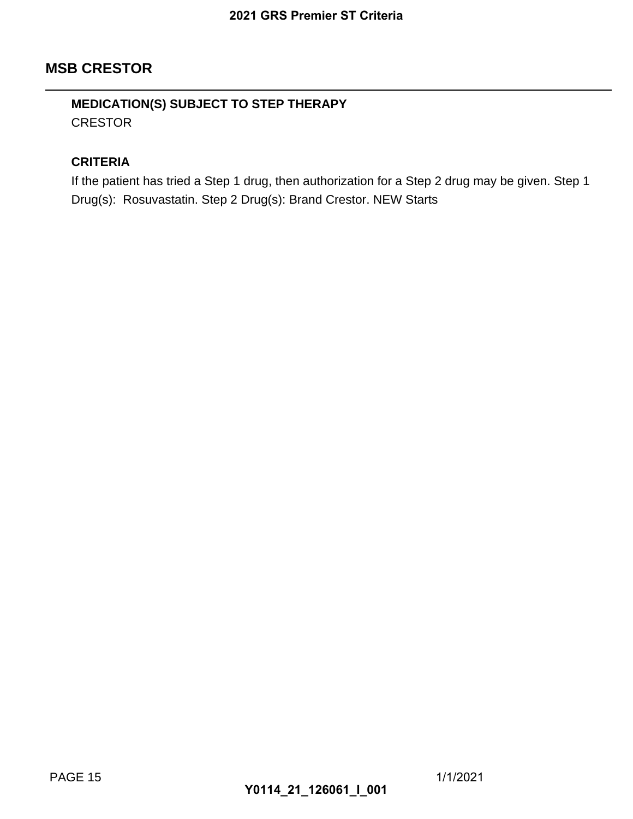## **MSB CRESTOR**

## **MEDICATION(S) SUBJECT TO STEP THERAPY CRESTOR**

#### **CRITERIA**

If the patient has tried a Step 1 drug, then authorization for a Step 2 drug may be given. Step 1 Drug(s): Rosuvastatin. Step 2 Drug(s): Brand Crestor. NEW Starts 2021 GRS Premier ST Criteria<br>
TO STEP THERAPY<br>
1 drug, then authorization for a<br>
2 Drug(s): Brand Crestor. NEW<br> **Y0114\_21\_126061\_I\_001**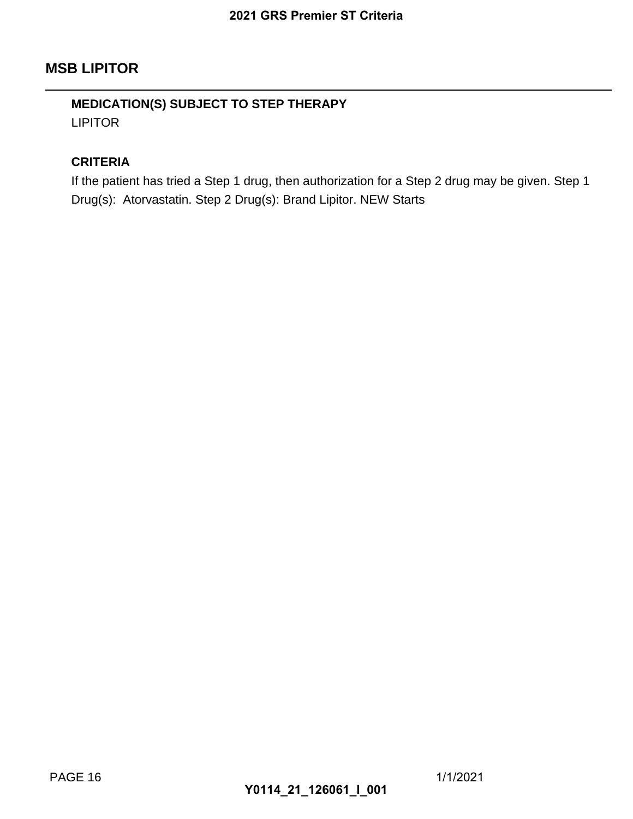## **MSB LIPITOR**

## **MEDICATION(S) SUBJECT TO STEP THERAPY** LIPITOR

#### **CRITERIA**

If the patient has tried a Step 1 drug, then authorization for a Step 2 drug may be given. Step 1 Drug(s): Atorvastatin. Step 2 Drug(s): Brand Lipitor. NEW Starts 2021 GRS Premier ST Criteria<br>
TO STEP THERAPY<br>
1 drug, then authorization for a<br>
2 Drug(s): Brand Lipitor. NEW State<br>
Y0114\_21\_126061\_I\_001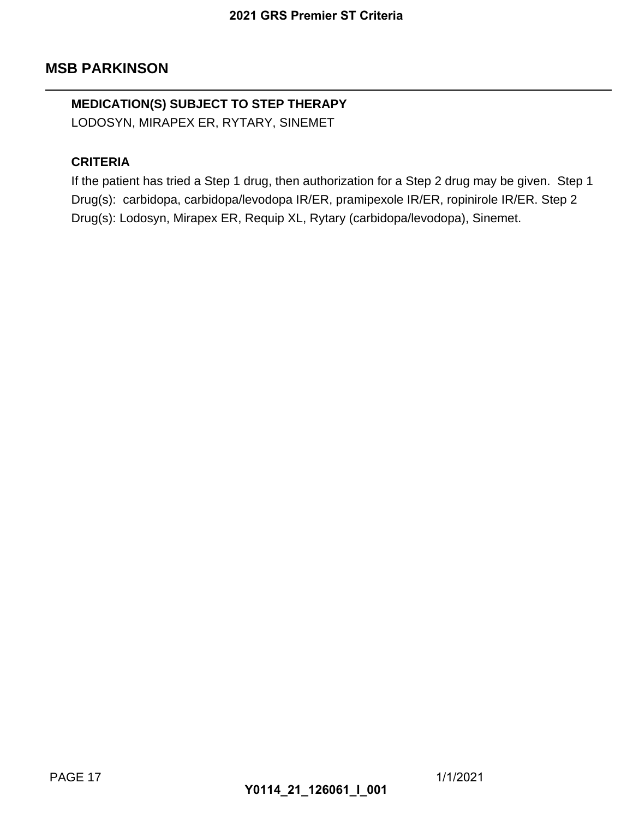# **MEDICATION(S) SUBJECT TO STEP THERAPY**

LODOSYN, MIRAPEX ER, RYTARY, SINEMET

#### **CRITERIA**

If the patient has tried a Step 1 drug, then authorization for a Step 2 drug may be given. Step 1 Drug(s): carbidopa, carbidopa/levodopa IR/ER, pramipexole IR/ER, ropinirole IR/ER. Step 2 Drug(s): Lodosyn, Mirapex ER, Requip XL, Rytary (carbidopa/levodopa), Sinemet. 2021 GRS Premier ST Criteria<br> **TO STEP THERAPY**<br>
YTARY, SINEMET<br>
1 drug, then authorization for a<br>
a/levodopa IR/ER, pramipexole<br>
R, Requip XL, Rytary (carbidopa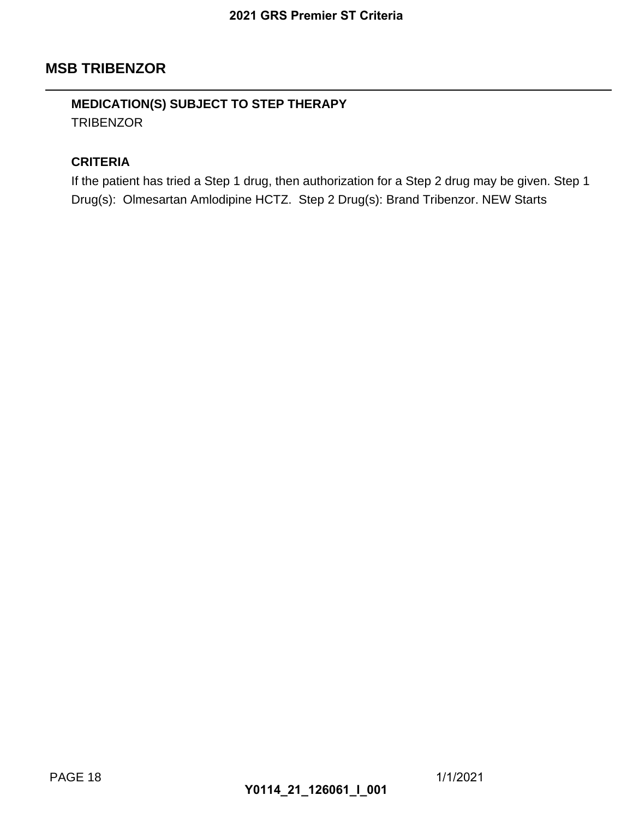### **MSB TRIBENZOR**

### **MEDICATION(S) SUBJECT TO STEP THERAPY TRIBENZOR**

#### **CRITERIA**

If the patient has tried a Step 1 drug, then authorization for a Step 2 drug may be given. Step 1 Drug(s): Olmesartan Amlodipine HCTZ. Step 2 Drug(s): Brand Tribenzor. NEW Starts 2021 GRS Premier ST Criteria<br>
TO STEP THERAPY<br>
1 drug, then authorization for a<br>
pine HCTZ. Step 2 Drug(s): Bra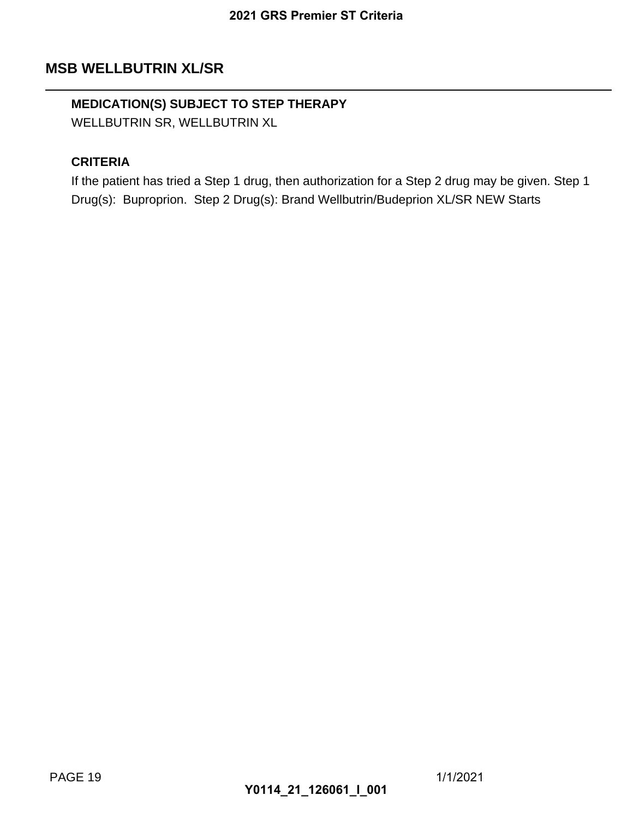## **MSB WELLBUTRIN XL/SR**

## **MEDICATION(S) SUBJECT TO STEP THERAPY**

WELLBUTRIN SR, WELLBUTRIN XL

#### **CRITERIA**

If the patient has tried a Step 1 drug, then authorization for a Step 2 drug may be given. Step 1 Drug(s): Buproprion. Step 2 Drug(s): Brand Wellbutrin/Budeprion XL/SR NEW Starts 2021 GRS Premier ST Criteria<br>
TO STEP THERAPY<br>
TRIN XL<br>
1 drug, then authorization for a<br>
Drug(s): Brand Wellbutrin/Bude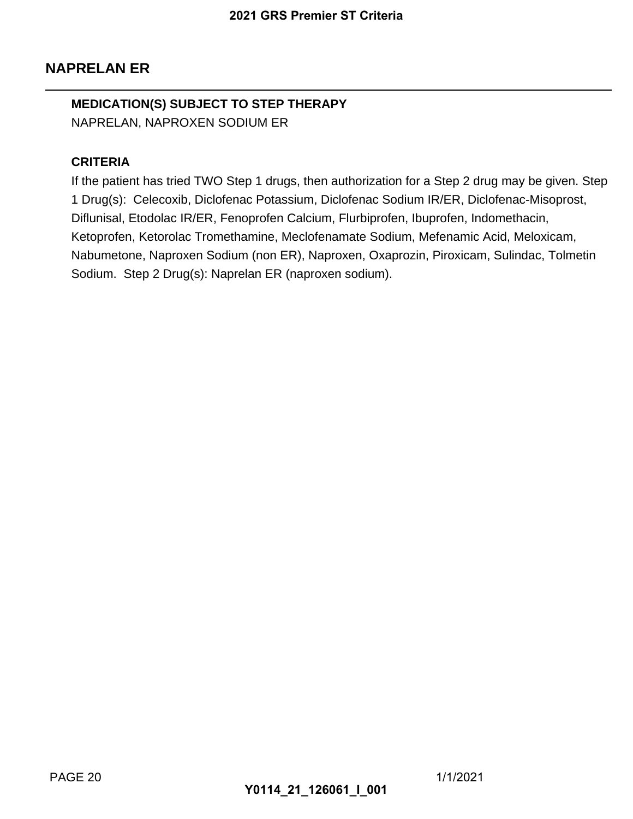## **NAPRELAN ER**

## **MEDICATION(S) SUBJECT TO STEP THERAPY** NAPRELAN, NAPROXEN SODIUM ER

#### **CRITERIA**

If the patient has tried TWO Step 1 drugs, then authorization for a Step 2 drug may be given. Step 1 Drug(s): Celecoxib, Diclofenac Potassium, Diclofenac Sodium IR/ER, Diclofenac-Misoprost, Diflunisal, Etodolac IR/ER, Fenoprofen Calcium, Flurbiprofen, Ibuprofen, Indomethacin, Ketoprofen, Ketorolac Tromethamine, Meclofenamate Sodium, Mefenamic Acid, Meloxicam, Nabumetone, Naproxen Sodium (non ER), Naproxen, Oxaprozin, Piroxicam, Sulindac, Tolmetin Sodium. Step 2 Drug(s): Naprelan ER (naproxen sodium). 2021 GRS Premier ST Criteria<br>
TO STEP THERAPY<br>
DDIUM ER<br>
Step 1 drugs, then authorization<br>
mac Potassium, Diclofenac Sodi<br>
enoprofen Calcium, Flurbiprofen<br>
thamine, Meclofenamate Sodium<br>
vrelan ER (naproxen sodium).<br>
Y0114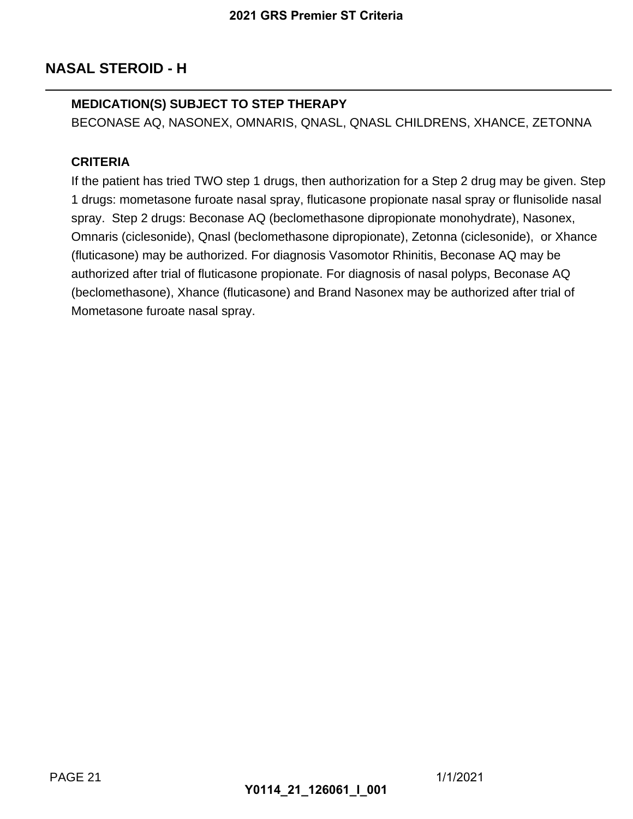## **NASAL STEROID - H**

#### **MEDICATION(S) SUBJECT TO STEP THERAPY**

BECONASE AQ, NASONEX, OMNARIS, QNASL, QNASL CHILDRENS, XHANCE, ZETONNA

#### **CRITERIA**

If the patient has tried TWO step 1 drugs, then authorization for a Step 2 drug may be given. Step 1 drugs: mometasone furoate nasal spray, fluticasone propionate nasal spray or flunisolide nasal spray. Step 2 drugs: Beconase AQ (beclomethasone dipropionate monohydrate), Nasonex, Omnaris (ciclesonide), Qnasl (beclomethasone dipropionate), Zetonna (ciclesonide), or Xhance (fluticasone) may be authorized. For diagnosis Vasomotor Rhinitis, Beconase AQ may be authorized after trial of fluticasone propionate. For diagnosis of nasal polyps, Beconase AQ (beclomethasone), Xhance (fluticasone) and Brand Nasonex may be authorized after trial of Mometasone furoate nasal spray. 2021 GRS Premier ST Criteria<br>
TO STEP THERAPY<br>
OMNARIS, QNASL, QNASL CI<br>
step 1 drugs, then authorization f<br>
a rasal spray, fluticasone propio<br>
ise AQ (beclomethasone dipropionate)<br>
(beclomethasone dipropionate)<br>
ed. For d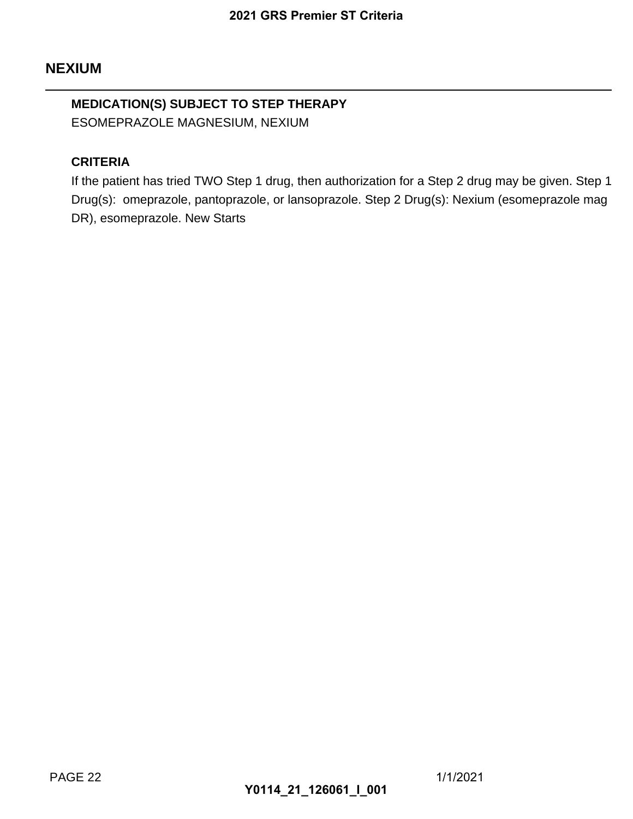## **MEDICATION(S) SUBJECT TO STEP THERAPY** ESOMEPRAZOLE MAGNESIUM, NEXIUM

#### **CRITERIA**

If the patient has tried TWO Step 1 drug, then authorization for a Step 2 drug may be given. Step 1 Drug(s): omeprazole, pantoprazole, or lansoprazole. Step 2 Drug(s): Nexium (esomeprazole mag DR), esomeprazole. New Starts 2021 GRS Premier ST Criteria<br> **TO STEP THERAPY**<br>
IJUM, NEXIUM<br>
Step 1 drug, then authorization for<br>
prazole, or lansoprazole. Step 2 l<br>
arts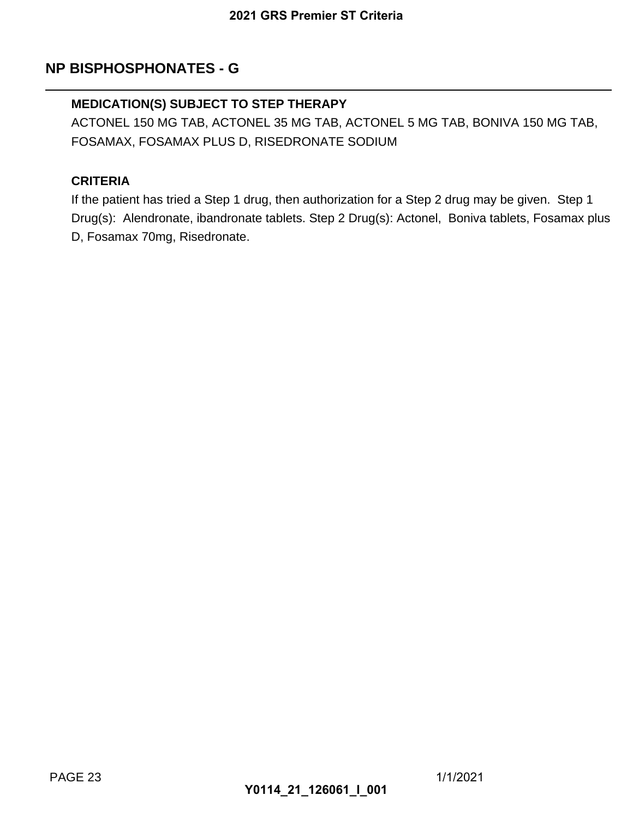## **NP BISPHOSPHONATES - G**

#### **MEDICATION(S) SUBJECT TO STEP THERAPY**

ACTONEL 150 MG TAB, ACTONEL 35 MG TAB, ACTONEL 5 MG TAB, BONIVA 150 MG TAB, FOSAMAX, FOSAMAX PLUS D, RISEDRONATE SODIUM

#### **CRITERIA**

If the patient has tried a Step 1 drug, then authorization for a Step 2 drug may be given. Step 1 Drug(s): Alendronate, ibandronate tablets. Step 2 Drug(s): Actonel, Boniva tablets, Fosamax plus D, Fosamax 70mg, Risedronate. 2021 GRS Premier ST Criteria<br>
G<br>
TO STEP THERAPY<br>
TONEL 35 MG TAB, ACTONEL<br>
S D, RISEDRONATE SODIUM<br>
1 drug, then authorization for a<br>
ate.<br>
Ate.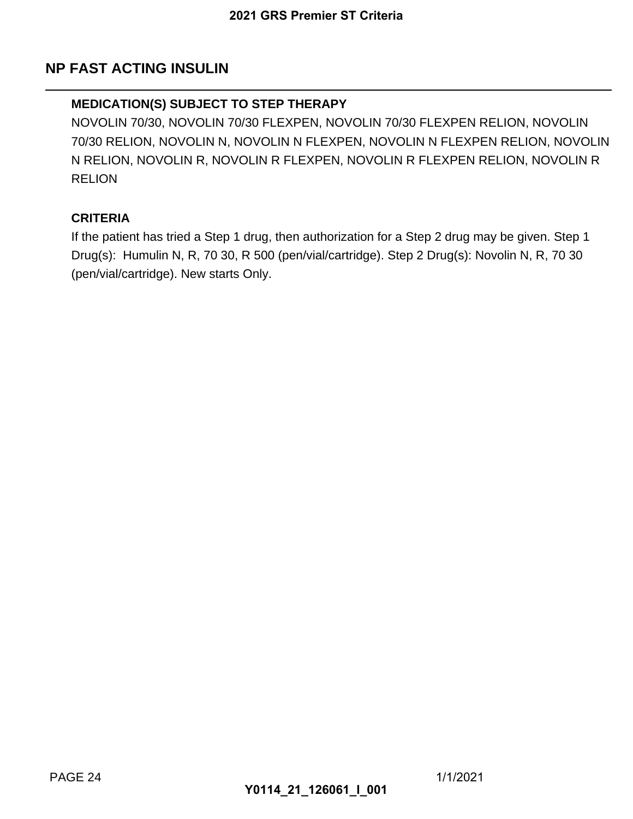## **NP FAST ACTING INSULIN**

#### **MEDICATION(S) SUBJECT TO STEP THERAPY**

NOVOLIN 70/30, NOVOLIN 70/30 FLEXPEN, NOVOLIN 70/30 FLEXPEN RELION, NOVOLIN 70/30 RELION, NOVOLIN N, NOVOLIN N FLEXPEN, NOVOLIN N FLEXPEN RELION, NOVOLIN N RELION, NOVOLIN R, NOVOLIN R FLEXPEN, NOVOLIN R FLEXPEN RELION, NOVOLIN R **RELION** 2021 GRS Premier ST Criteria<br>
TO STEP THERAPY<br>
70/30 FLEXPEN, NOVOLIN 70/3<br>
NOVOLIN R FLEXPEN, NOVO<br>
VOLIN R FLEXPEN, NOVOLIN<br>
1 drug, then authorization for a<br>
0, R 500 (pen/vial/cartridge). Ste<br>
ts Only.

#### **CRITERIA**

If the patient has tried a Step 1 drug, then authorization for a Step 2 drug may be given. Step 1 Drug(s): Humulin N, R, 70 30, R 500 (pen/vial/cartridge). Step 2 Drug(s): Novolin N, R, 70 30 (pen/vial/cartridge). New starts Only.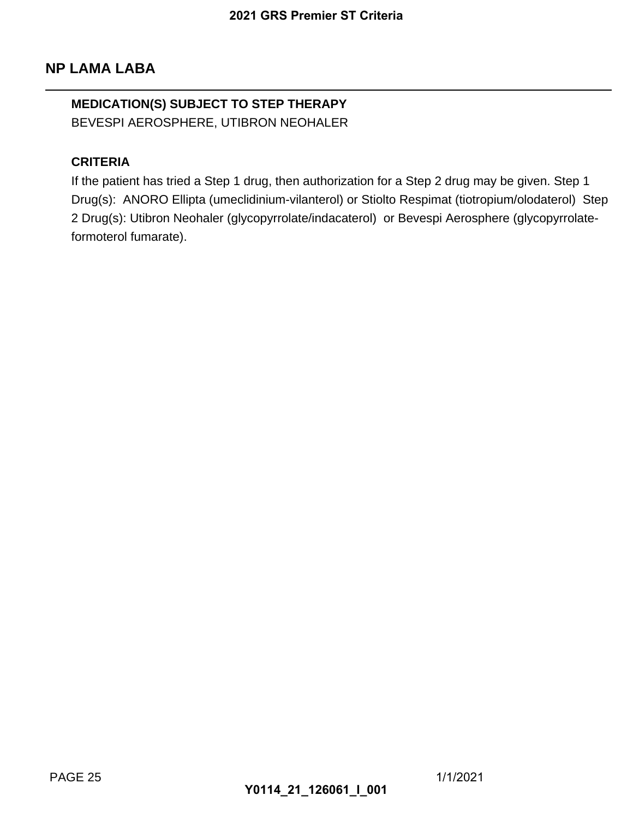## **MEDICATION(S) SUBJECT TO STEP THERAPY** BEVESPI AEROSPHERE, UTIBRON NEOHALER

#### **CRITERIA**

If the patient has tried a Step 1 drug, then authorization for a Step 2 drug may be given. Step 1 Drug(s): ANORO Ellipta (umeclidinium-vilanterol) or Stiolto Respimat (tiotropium/olodaterol) Step 2 Drug(s): Utibron Neohaler (glycopyrrolate/indacaterol) or Bevespi Aerosphere (glycopyrrolateformoterol fumarate). 2021 GRS Premier ST Criteria<br>
TO STEP THERAPY<br>
TIBRON NEOHALER<br>
1 drug, then authorization for a<br>
eclidinium-vilanterol) or Stiolto R<br>
(glycopyrrolate/indacaterol) or B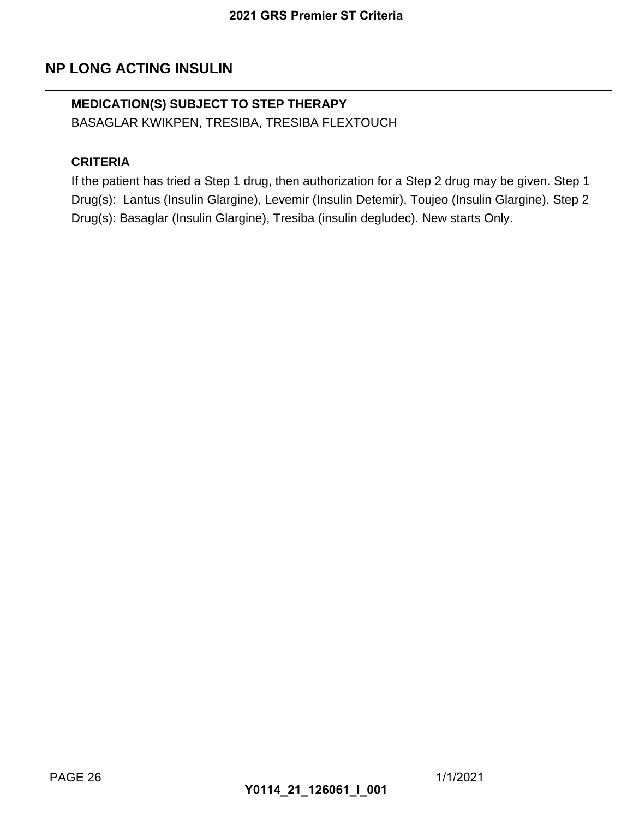## **NP LONG ACTING INSULIN**

## **MEDICATION(S) SUBJECT TO STEP THERAPY**

BASAGLAR KWIKPEN, TRESIBA, TRESIBA FLEXTOUCH

#### **CRITERIA**

If the patient has tried a Step 1 drug, then authorization for a Step 2 drug may be given. Step 1 Drug(s): Lantus (Insulin Glargine), Levemir (Insulin Detemir), Toujeo (Insulin Glargine). Step 2 Drug(s): Basaglar (Insulin Glargine), Tresiba (insulin degludec). New starts Only. 2021 GRS Premier ST Criteria<br>
TO STEP THERAPY<br>
SIBA, TRESIBA FLEXTOUCH<br>
1 drug, then authorization for a<br>
grine), Levemir (Insulin Detemir),<br>
argine), Tresiba (insulin deglude)<br>
Y0114\_21\_126061\_I\_001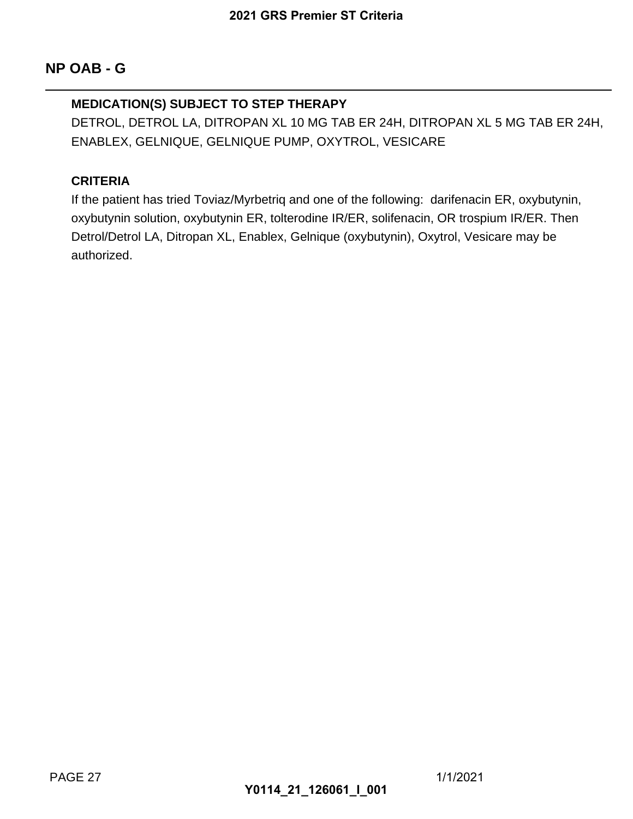#### **MEDICATION(S) SUBJECT TO STEP THERAPY**

DETROL, DETROL LA, DITROPAN XL 10 MG TAB ER 24H, DITROPAN XL 5 MG TAB ER 24H, ENABLEX, GELNIQUE, GELNIQUE PUMP, OXYTROL, VESICARE

#### **CRITERIA**

If the patient has tried Toviaz/Myrbetriq and one of the following: darifenacin ER, oxybutynin, oxybutynin solution, oxybutynin ER, tolterodine IR/ER, solifenacin, OR trospium IR/ER. Then Detrol/Detrol LA, Ditropan XL, Enablex, Gelnique (oxybutynin), Oxytrol, Vesicare may be authorized. 2021 GRS Premier ST Criteria<br>
TO STEP THERAPY<br>
20PAN XL 10 MG TAB ER 24H,<br>
NIQUE PUMP, OXYTROL, VES<br>
Myrbetriq and one of the followi<br>
in ER, tolterodine IR/ER, solifen<br>
., Enablex, Gelnique (oxybutynin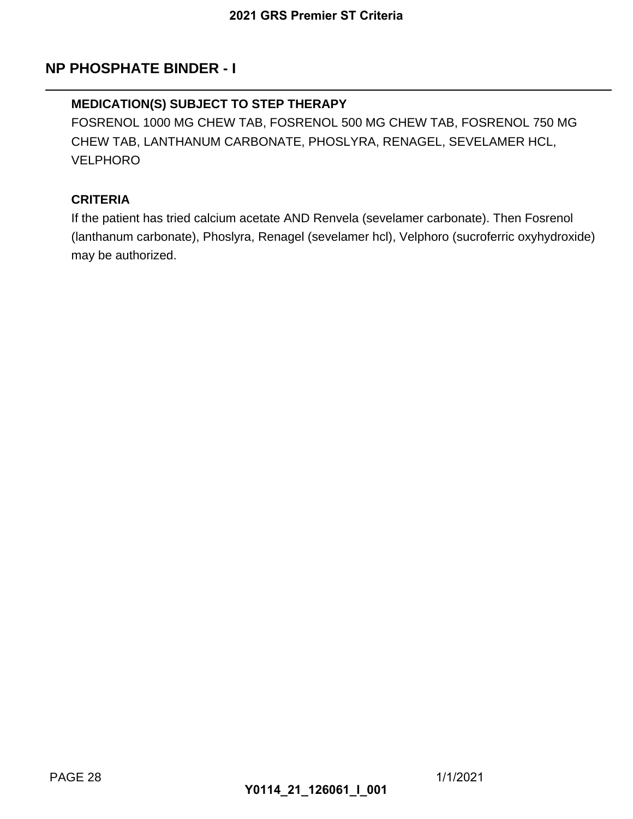## **NP PHOSPHATE BINDER - I**

#### **MEDICATION(S) SUBJECT TO STEP THERAPY**

FOSRENOL 1000 MG CHEW TAB, FOSRENOL 500 MG CHEW TAB, FOSRENOL 750 MG CHEW TAB, LANTHANUM CARBONATE, PHOSLYRA, RENAGEL, SEVELAMER HCL, VELPHORO 2021 GRS Premier ST Criteria<br> **1**<br>
TO STEP THERAPY<br>
V TAB, FOSRENOL 500 MG CH<br>
CARBONATE, PHOSLYRA, REN<br>
m acetate AND Renvela (sevelamer hcl), V<br>
Y0114\_21\_126061\_I\_001<br>
Nyra, Renagel (sevelamer hcl), V

#### **CRITERIA**

If the patient has tried calcium acetate AND Renvela (sevelamer carbonate). Then Fosrenol (lanthanum carbonate), Phoslyra, Renagel (sevelamer hcl), Velphoro (sucroferric oxyhydroxide) may be authorized.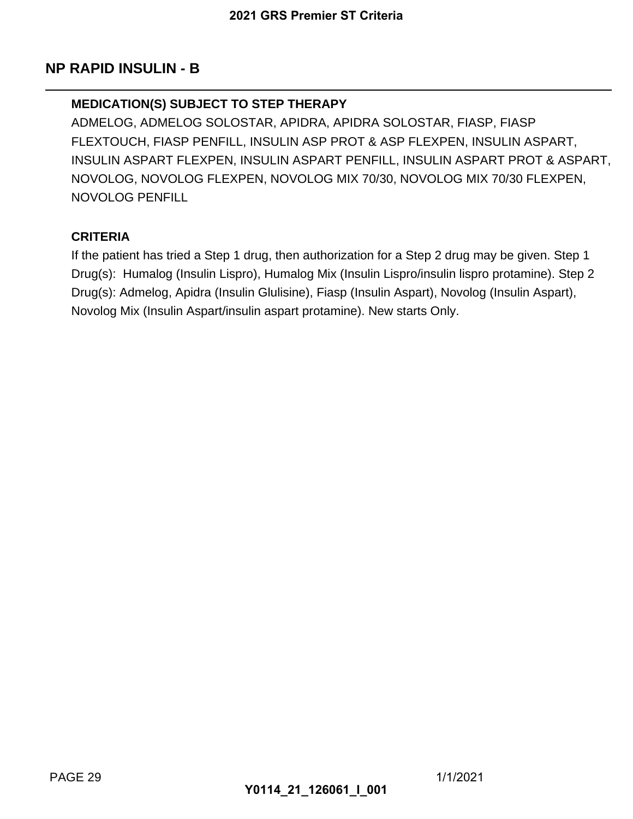### **NP RAPID INSULIN - B**

#### **MEDICATION(S) SUBJECT TO STEP THERAPY**

ADMELOG, ADMELOG SOLOSTAR, APIDRA, APIDRA SOLOSTAR, FIASP, FIASP FLEXTOUCH, FIASP PENFILL, INSULIN ASP PROT & ASP FLEXPEN, INSULIN ASPART, INSULIN ASPART FLEXPEN, INSULIN ASPART PENFILL, INSULIN ASPART PROT & ASPART, NOVOLOG, NOVOLOG FLEXPEN, NOVOLOG MIX 70/30, NOVOLOG MIX 70/30 FLEXPEN, NOVOLOG PENFILL 2021 GRS Premier ST Criteria<br> **TO STEP THERAPY**<br>
COSTAR, APIDRA, APIDRA SOL<br>
LL, INSULIN ASP PROT & ASP<br>
J, INSULIN ASPART PENFILL, I<br>
XPEN, NOVOLOG MIX 70/30, N<br>
1 drug, then authorization for a<br>
spro), Humalog Mix (Insul

#### **CRITERIA**

If the patient has tried a Step 1 drug, then authorization for a Step 2 drug may be given. Step 1 Drug(s): Humalog (Insulin Lispro), Humalog Mix (Insulin Lispro/insulin lispro protamine). Step 2 Drug(s): Admelog, Apidra (Insulin Glulisine), Fiasp (Insulin Aspart), Novolog (Insulin Aspart), Novolog Mix (Insulin Aspart/insulin aspart protamine). New starts Only.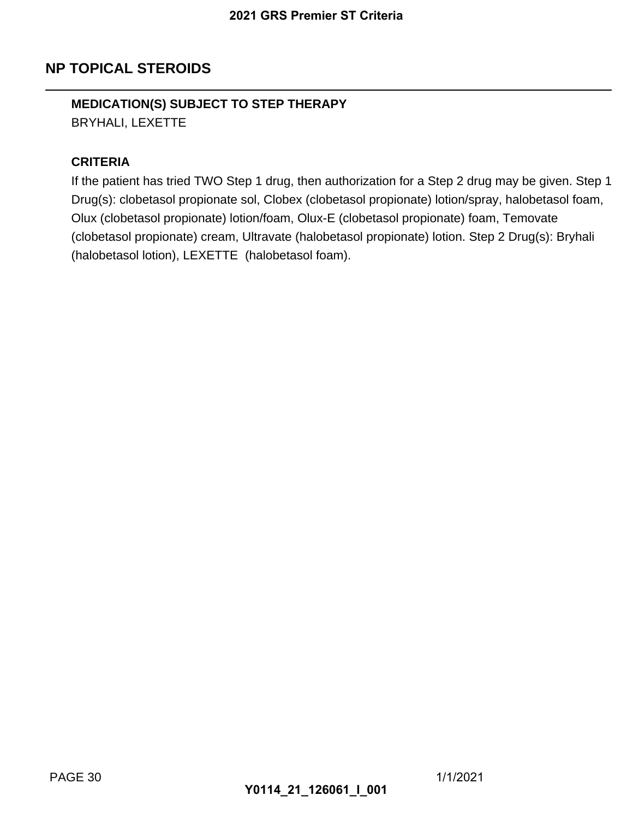## **NP TOPICAL STEROIDS**

# **MEDICATION(S) SUBJECT TO STEP THERAPY**

BRYHALI, LEXETTE

#### **CRITERIA**

If the patient has tried TWO Step 1 drug, then authorization for a Step 2 drug may be given. Step 1 Drug(s): clobetasol propionate sol, Clobex (clobetasol propionate) lotion/spray, halobetasol foam, Olux (clobetasol propionate) lotion/foam, Olux-E (clobetasol propionate) foam, Temovate (clobetasol propionate) cream, Ultravate (halobetasol propionate) lotion. Step 2 Drug(s): Bryhali (halobetasol lotion), LEXETTE (halobetasol foam). 2021 GRS Premier ST Criteria<br>
TO STEP THERAPY<br>
Step 1 drug, then authorization for<br>
ie sol, Clobex (clobetasol propior<br>
lotion/foam, Olux-E (clobetasol propion<br>
E (halobetasol foam).<br>
Y0114\_21\_126061\_I\_001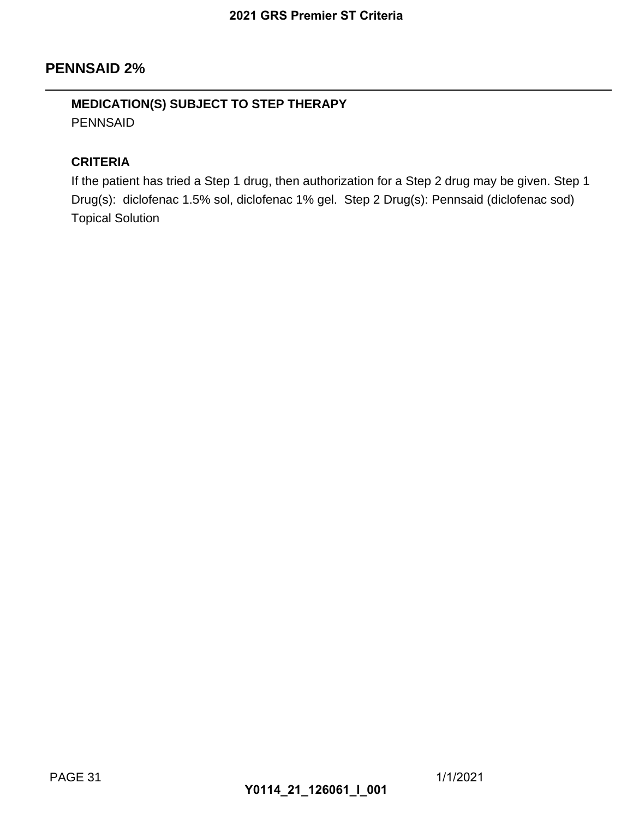### **PENNSAID 2%**

## **MEDICATION(S) SUBJECT TO STEP THERAPY** PENNSAID

#### **CRITERIA**

If the patient has tried a Step 1 drug, then authorization for a Step 2 drug may be given. Step 1 Drug(s): diclofenac 1.5% sol, diclofenac 1% gel. Step 2 Drug(s): Pennsaid (diclofenac sod) Topical Solution 2021 GRS Premier ST Criteria<br>
TO STEP THERAPY<br>
1 drug, then authorization for a<br>
, diclofenac 1% gel. Step 2 Drug<br>
Y0114\_21\_126061\_I\_001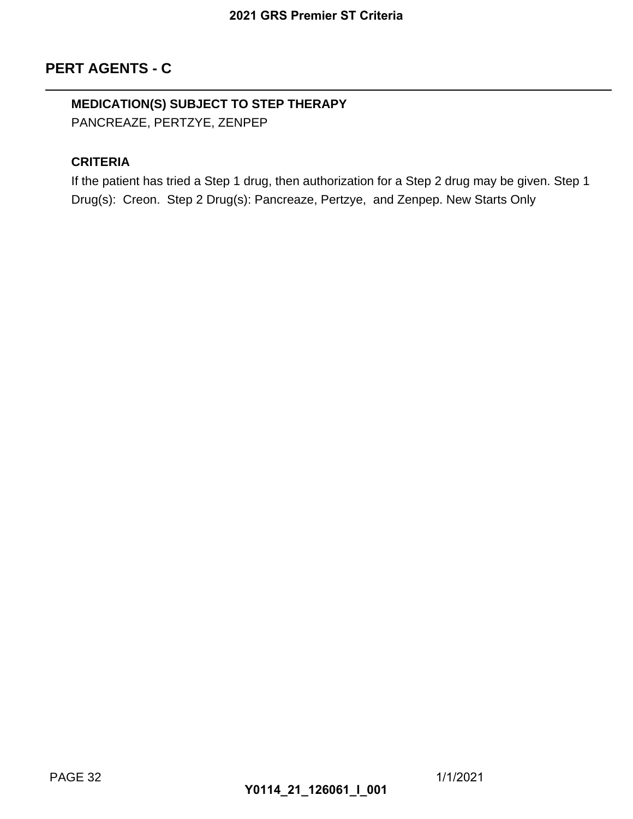# **MEDICATION(S) SUBJECT TO STEP THERAPY**

PANCREAZE, PERTZYE, ZENPEP

## **CRITERIA**

If the patient has tried a Step 1 drug, then authorization for a Step 2 drug may be given. Step 1 Drug(s): Creon. Step 2 Drug(s): Pancreaze, Pertzye, and Zenpep. New Starts Only 2021 GRS Premier ST Criteria<br>
TO STEP THERAPY<br>
ENPEP<br>
1 drug, then authorization for a<br>
<sub>3</sub>(s): Pancreaze, Pertzye, and Z<br> **Y0114\_21\_126061\_I\_001**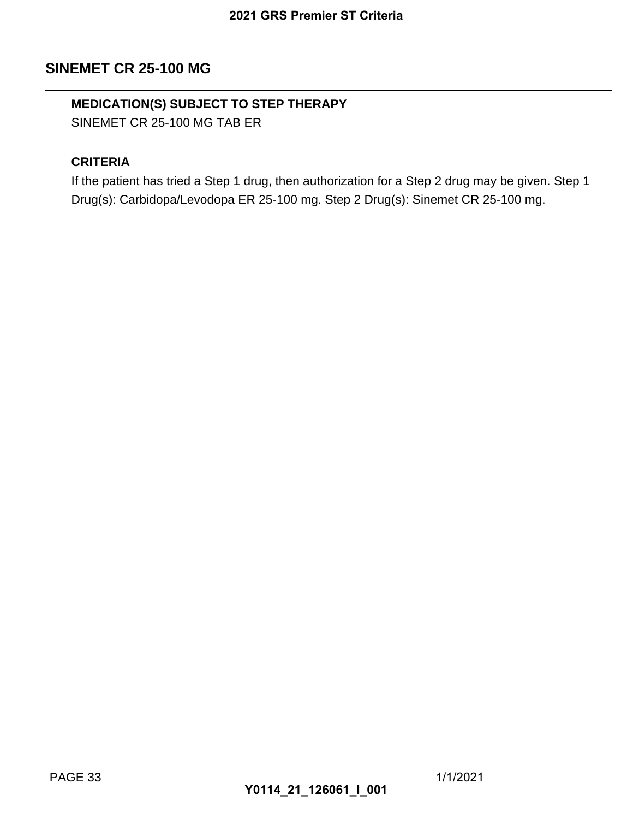### **SINEMET CR 25-100 MG**

## **MEDICATION(S) SUBJECT TO STEP THERAPY**

SINEMET CR 25-100 MG TAB ER

#### **CRITERIA**

If the patient has tried a Step 1 drug, then authorization for a Step 2 drug may be given. Step 1 Drug(s): Carbidopa/Levodopa ER 25-100 mg. Step 2 Drug(s): Sinemet CR 25-100 mg. 2021 GRS Premier ST Criteria<br> **TO STEP THERAPY**<br>
NB ER<br>
1 drug, then authorization for a<br>
a ER 25-100 mg. Step 2 Drug(s)<br> **Y0114\_21\_126061\_I\_001**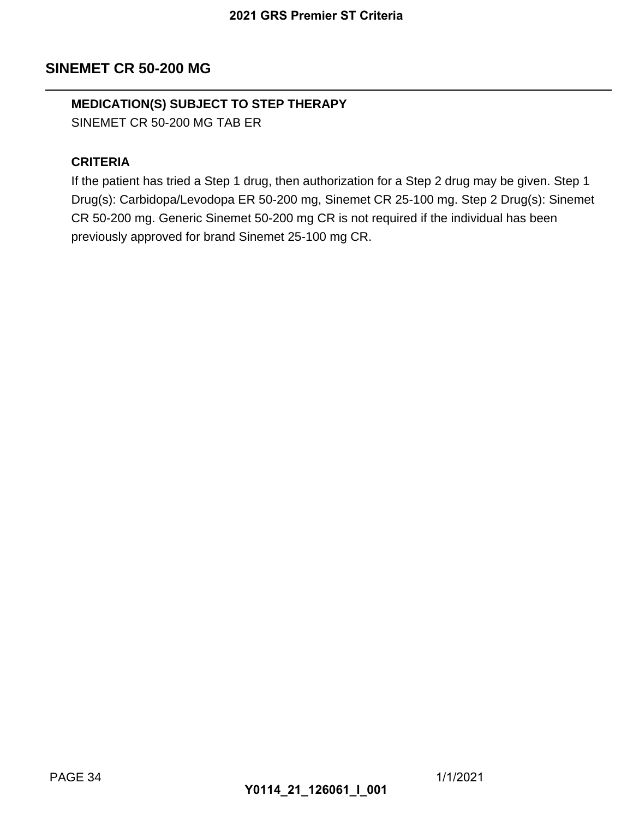## **SINEMET CR 50-200 MG**

## **MEDICATION(S) SUBJECT TO STEP THERAPY**

SINEMET CR 50-200 MG TAB ER

#### **CRITERIA**

If the patient has tried a Step 1 drug, then authorization for a Step 2 drug may be given. Step 1 Drug(s): Carbidopa/Levodopa ER 50-200 mg, Sinemet CR 25-100 mg. Step 2 Drug(s): Sinemet CR 50-200 mg. Generic Sinemet 50-200 mg CR is not required if the individual has been previously approved for brand Sinemet 25-100 mg CR. 2021 GRS Premier ST Criteria<br> **TO STEP THERAPY**<br>
NB ER<br>
1 drug, then authorization for a<br>
a ER 50-200 mg CR is not require<br>
d Sinemet 25-100 mg CR.<br>
1 **Statement 25-100 mg CR.**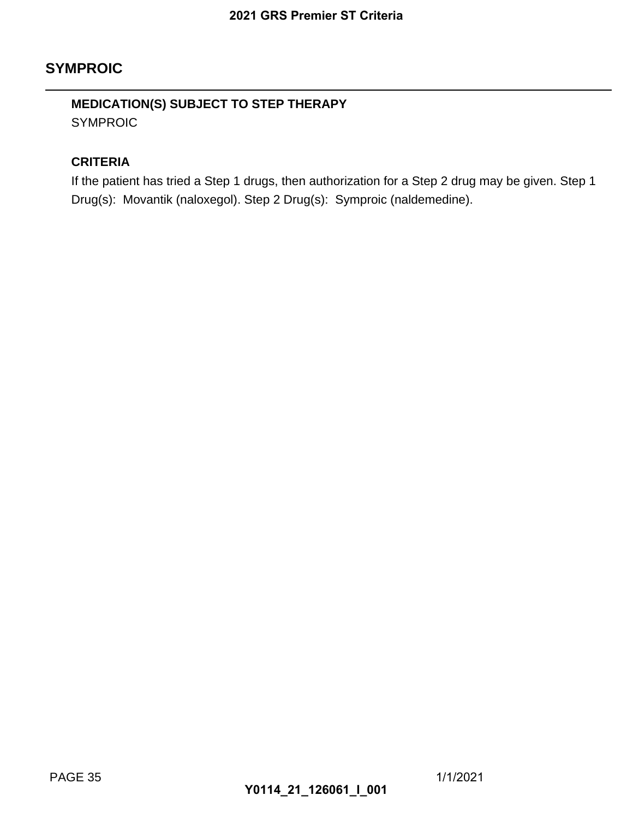## **SYMPROIC**

## **MEDICATION(S) SUBJECT TO STEP THERAPY** SYMPROIC

#### **CRITERIA**

If the patient has tried a Step 1 drugs, then authorization for a Step 2 drug may be given. Step 1 Drug(s): Movantik (naloxegol). Step 2 Drug(s): Symproic (naldemedine). 2021 GRS Premier ST Criteria<br>
TO STEP THERAPY<br>
1 drugs, then authorization for *c*<br>
1). Step 2 Drug(s): Symproic (na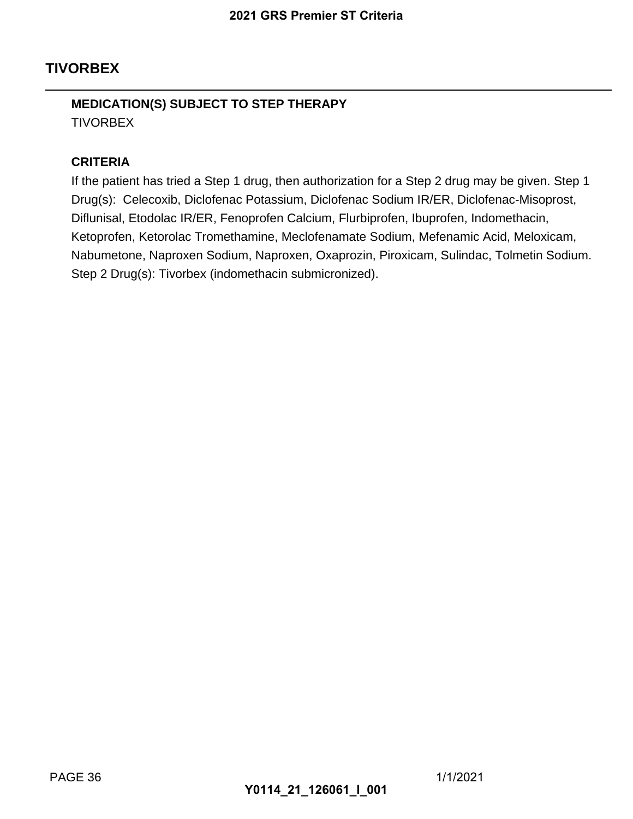## **TIVORBEX**

## **MEDICATION(S) SUBJECT TO STEP THERAPY TIVORBEX**

#### **CRITERIA**

If the patient has tried a Step 1 drug, then authorization for a Step 2 drug may be given. Step 1 Drug(s): Celecoxib, Diclofenac Potassium, Diclofenac Sodium IR/ER, Diclofenac-Misoprost, Diflunisal, Etodolac IR/ER, Fenoprofen Calcium, Flurbiprofen, Ibuprofen, Indomethacin, Ketoprofen, Ketorolac Tromethamine, Meclofenamate Sodium, Mefenamic Acid, Meloxicam, Nabumetone, Naproxen Sodium, Naproxen, Oxaprozin, Piroxicam, Sulindac, Tolmetin Sodium. Step 2 Drug(s): Tivorbex (indomethacin submicronized). 2021 GRS Premier ST Criteria<br>
TO STEP THERAPY<br>
1 drug, then authorization for a<br>
ac Potassium, Diclofenac Sodiur<br>
enoprofen Calcium, Flurbiprofen<br>
Internation, Naproxen, Oxaprozin, Pirox<br>
Iomethacin submicronized).<br>
Y0114\_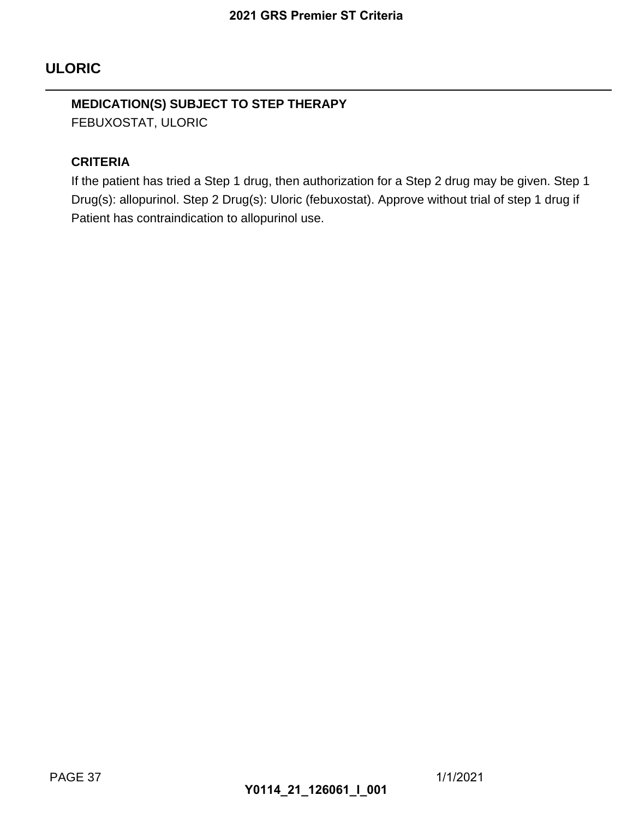## **ULORIC**

## **MEDICATION(S) SUBJECT TO STEP THERAPY**

FEBUXOSTAT, ULORIC

#### **CRITERIA**

If the patient has tried a Step 1 drug, then authorization for a Step 2 drug may be given. Step 1 Drug(s): allopurinol. Step 2 Drug(s): Uloric (febuxostat). Approve without trial of step 1 drug if Patient has contraindication to allopurinol use. 2021 GRS Premier ST Criteria<br>
TO STEP THERAPY<br>
1 drug, then authorization for a<br>
1rug(s): Uloric (febuxostat). Appro<br>
20114\_21\_126061\_I\_001<br>
20114\_21\_126061\_I\_001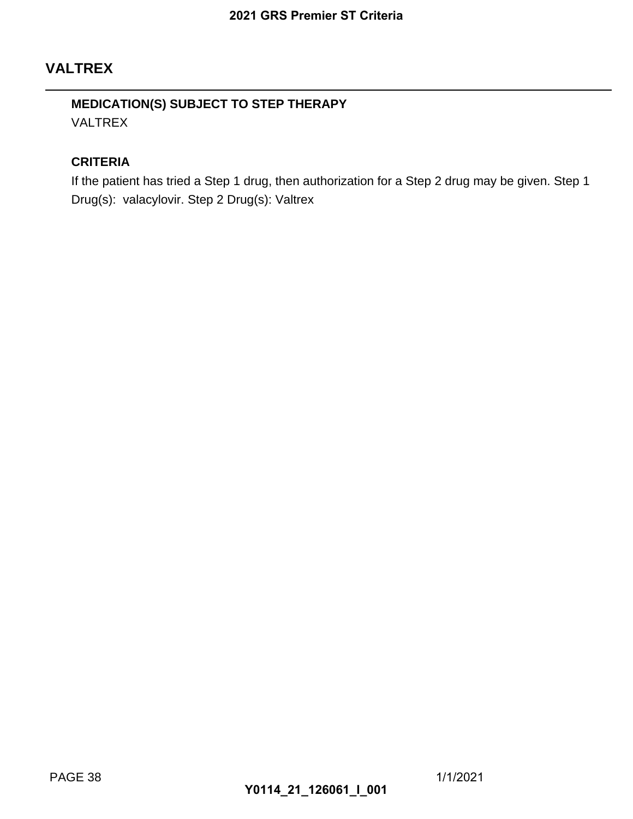## **VALTREX**

### **MEDICATION(S) SUBJECT TO STEP THERAPY** VALTREX

#### **CRITERIA**

If the patient has tried a Step 1 drug, then authorization for a Step 2 drug may be given. Step 1 Drug(s): valacylovir. Step 2 Drug(s): Valtrex 2021 GRS Premier ST Criteria<br>
TO STEP THERAPY<br>
1 drug, then authorization for a<br>
Drug(s): Valtrex<br> **Y0114\_21\_126061\_I\_001**